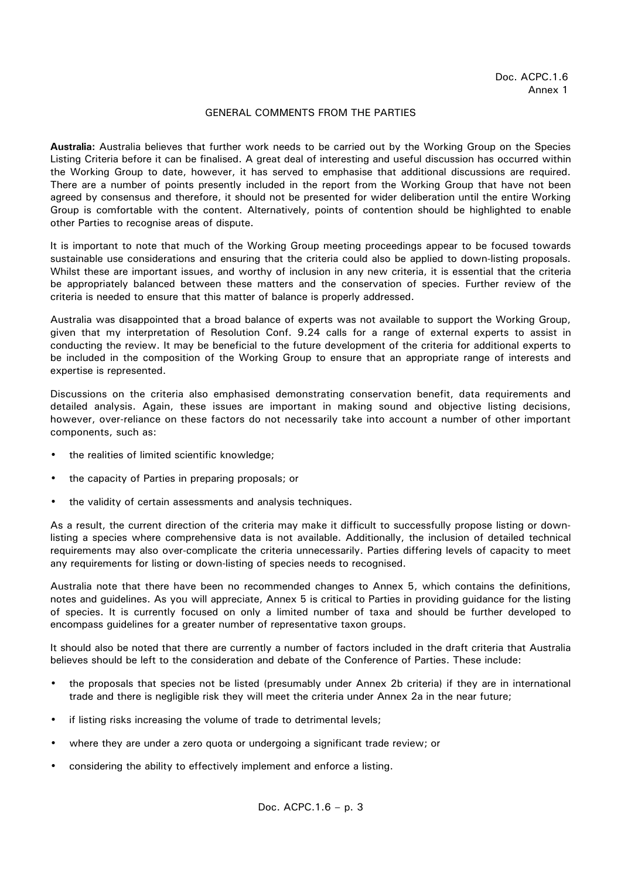## GENERAL COMMENTS FROM THE PARTIES

**Australia:** Australia believes that further work needs to be carried out by the Working Group on the Species Listing Criteria before it can be finalised. A great deal of interesting and useful discussion has occurred within the Working Group to date, however, it has served to emphasise that additional discussions are required. There are a number of points presently included in the report from the Working Group that have not been agreed by consensus and therefore, it should not be presented for wider deliberation until the entire Working Group is comfortable with the content. Alternatively, points of contention should be highlighted to enable other Parties to recognise areas of dispute.

It is important to note that much of the Working Group meeting proceedings appear to be focused towards sustainable use considerations and ensuring that the criteria could also be applied to down-listing proposals. Whilst these are important issues, and worthy of inclusion in any new criteria, it is essential that the criteria be appropriately balanced between these matters and the conservation of species. Further review of the criteria is needed to ensure that this matter of balance is properly addressed.

Australia was disappointed that a broad balance of experts was not available to support the Working Group, given that my interpretation of Resolution Conf. 9.24 calls for a range of external experts to assist in conducting the review. It may be beneficial to the future development of the criteria for additional experts to be included in the composition of the Working Group to ensure that an appropriate range of interests and expertise is represented.

Discussions on the criteria also emphasised demonstrating conservation benefit, data requirements and detailed analysis. Again, these issues are important in making sound and objective listing decisions, however, over-reliance on these factors do not necessarily take into account a number of other important components, such as:

- the realities of limited scientific knowledge;
- the capacity of Parties in preparing proposals; or
- the validity of certain assessments and analysis techniques.

As a result, the current direction of the criteria may make it difficult to successfully propose listing or downlisting a species where comprehensive data is not available. Additionally, the inclusion of detailed technical requirements may also over-complicate the criteria unnecessarily. Parties differing levels of capacity to meet any requirements for listing or down-listing of species needs to recognised.

Australia note that there have been no recommended changes to Annex 5, which contains the definitions, notes and guidelines. As you will appreciate, Annex 5 is critical to Parties in providing guidance for the listing of species. It is currently focused on only a limited number of taxa and should be further developed to encompass guidelines for a greater number of representative taxon groups.

It should also be noted that there are currently a number of factors included in the draft criteria that Australia believes should be left to the consideration and debate of the Conference of Parties. These include:

- the proposals that species not be listed (presumably under Annex 2b criteria) if they are in international trade and there is negligible risk they will meet the criteria under Annex 2a in the near future;
- if listing risks increasing the volume of trade to detrimental levels;
- where they are under a zero quota or undergoing a significant trade review; or
- considering the ability to effectively implement and enforce a listing.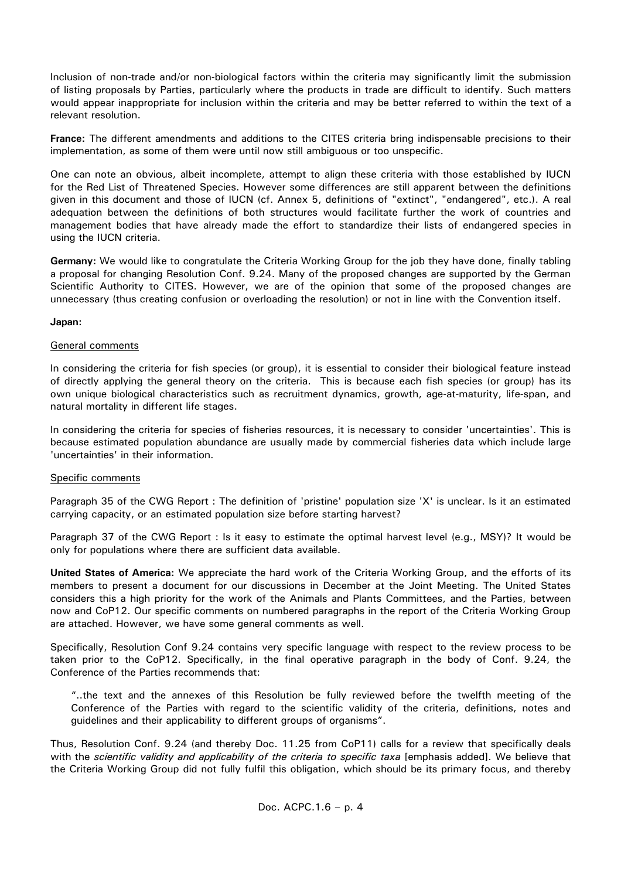Inclusion of non-trade and/or non-biological factors within the criteria may significantly limit the submission of listing proposals by Parties, particularly where the products in trade are difficult to identify. Such matters would appear inappropriate for inclusion within the criteria and may be better referred to within the text of a relevant resolution.

**France:** The different amendments and additions to the CITES criteria bring indispensable precisions to their implementation, as some of them were until now still ambiguous or too unspecific.

One can note an obvious, albeit incomplete, attempt to align these criteria with those established by IUCN for the Red List of Threatened Species. However some differences are still apparent between the definitions given in this document and those of IUCN (cf. Annex 5, definitions of "extinct", "endangered", etc.). A real adequation between the definitions of both structures would facilitate further the work of countries and management bodies that have already made the effort to standardize their lists of endangered species in using the IUCN criteria.

**Germany:** We would like to congratulate the Criteria Working Group for the job they have done, finally tabling a proposal for changing Resolution Conf. 9.24. Many of the proposed changes are supported by the German Scientific Authority to CITES. However, we are of the opinion that some of the proposed changes are unnecessary (thus creating confusion or overloading the resolution) or not in line with the Convention itself.

## **Japan:**

## General comments

In considering the criteria for fish species (or group), it is essential to consider their biological feature instead of directly applying the general theory on the criteria. This is because each fish species (or group) has its own unique biological characteristics such as recruitment dynamics, growth, age-at-maturity, life-span, and natural mortality in different life stages.

In considering the criteria for species of fisheries resources, it is necessary to consider 'uncertainties'. This is because estimated population abundance are usually made by commercial fisheries data which include large 'uncertainties' in their information.

## Specific comments

Paragraph 35 of the CWG Report : The definition of 'pristine' population size 'X' is unclear. Is it an estimated carrying capacity, or an estimated population size before starting harvest?

Paragraph 37 of the CWG Report : Is it easy to estimate the optimal harvest level (e.g., MSY)? It would be only for populations where there are sufficient data available.

**United States of America:** We appreciate the hard work of the Criteria Working Group, and the efforts of its members to present a document for our discussions in December at the Joint Meeting. The United States considers this a high priority for the work of the Animals and Plants Committees, and the Parties, between now and CoP12. Our specific comments on numbered paragraphs in the report of the Criteria Working Group are attached. However, we have some general comments as well.

Specifically, Resolution Conf 9.24 contains very specific language with respect to the review process to be taken prior to the CoP12. Specifically, in the final operative paragraph in the body of Conf. 9.24, the Conference of the Parties recommends that:

"..the text and the annexes of this Resolution be fully reviewed before the twelfth meeting of the Conference of the Parties with regard to the scientific validity of the criteria, definitions, notes and guidelines and their applicability to different groups of organisms".

Thus, Resolution Conf. 9.24 (and thereby Doc. 11.25 from CoP11) calls for a review that specifically deals with the *scientific validity and applicability of the criteria to specific taxa* [emphasis added]. We believe that the Criteria Working Group did not fully fulfil this obligation, which should be its primary focus, and thereby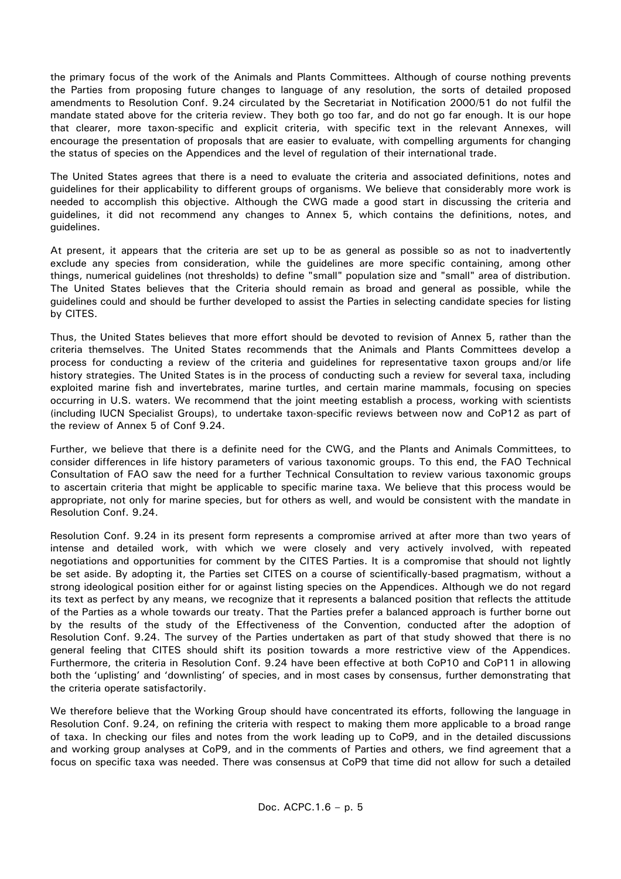the primary focus of the work of the Animals and Plants Committees. Although of course nothing prevents the Parties from proposing future changes to language of any resolution, the sorts of detailed proposed amendments to Resolution Conf. 9.24 circulated by the Secretariat in Notification 2000/51 do not fulfil the mandate stated above for the criteria review. They both go too far, and do not go far enough. It is our hope that clearer, more taxon-specific and explicit criteria, with specific text in the relevant Annexes, will encourage the presentation of proposals that are easier to evaluate, with compelling arguments for changing the status of species on the Appendices and the level of regulation of their international trade.

The United States agrees that there is a need to evaluate the criteria and associated definitions, notes and guidelines for their applicability to different groups of organisms. We believe that considerably more work is needed to accomplish this objective. Although the CWG made a good start in discussing the criteria and guidelines, it did not recommend any changes to Annex 5, which contains the definitions, notes, and guidelines.

At present, it appears that the criteria are set up to be as general as possible so as not to inadvertently exclude any species from consideration, while the guidelines are more specific containing, among other things, numerical guidelines (not thresholds) to define "small" population size and "small" area of distribution. The United States believes that the Criteria should remain as broad and general as possible, while the guidelines could and should be further developed to assist the Parties in selecting candidate species for listing by CITES.

Thus, the United States believes that more effort should be devoted to revision of Annex 5, rather than the criteria themselves. The United States recommends that the Animals and Plants Committees develop a process for conducting a review of the criteria and guidelines for representative taxon groups and/or life history strategies. The United States is in the process of conducting such a review for several taxa, including exploited marine fish and invertebrates, marine turtles, and certain marine mammals, focusing on species occurring in U.S. waters. We recommend that the joint meeting establish a process, working with scientists (including IUCN Specialist Groups), to undertake taxon-specific reviews between now and CoP12 as part of the review of Annex 5 of Conf 9.24.

Further, we believe that there is a definite need for the CWG, and the Plants and Animals Committees, to consider differences in life history parameters of various taxonomic groups. To this end, the FAO Technical Consultation of FAO saw the need for a further Technical Consultation to review various taxonomic groups to ascertain criteria that might be applicable to specific marine taxa. We believe that this process would be appropriate, not only for marine species, but for others as well, and would be consistent with the mandate in Resolution Conf. 9.24.

Resolution Conf. 9.24 in its present form represents a compromise arrived at after more than two years of intense and detailed work, with which we were closely and very actively involved, with repeated negotiations and opportunities for comment by the CITES Parties. It is a compromise that should not lightly be set aside. By adopting it, the Parties set CITES on a course of scientifically-based pragmatism, without a strong ideological position either for or against listing species on the Appendices. Although we do not regard its text as perfect by any means, we recognize that it represents a balanced position that reflects the attitude of the Parties as a whole towards our treaty. That the Parties prefer a balanced approach is further borne out by the results of the study of the Effectiveness of the Convention, conducted after the adoption of Resolution Conf. 9.24. The survey of the Parties undertaken as part of that study showed that there is no general feeling that CITES should shift its position towards a more restrictive view of the Appendices. Furthermore, the criteria in Resolution Conf. 9.24 have been effective at both CoP10 and CoP11 in allowing both the 'uplisting' and 'downlisting' of species, and in most cases by consensus, further demonstrating that the criteria operate satisfactorily.

We therefore believe that the Working Group should have concentrated its efforts, following the language in Resolution Conf. 9.24, on refining the criteria with respect to making them more applicable to a broad range of taxa. In checking our files and notes from the work leading up to CoP9, and in the detailed discussions and working group analyses at CoP9, and in the comments of Parties and others, we find agreement that a focus on specific taxa was needed. There was consensus at CoP9 that time did not allow for such a detailed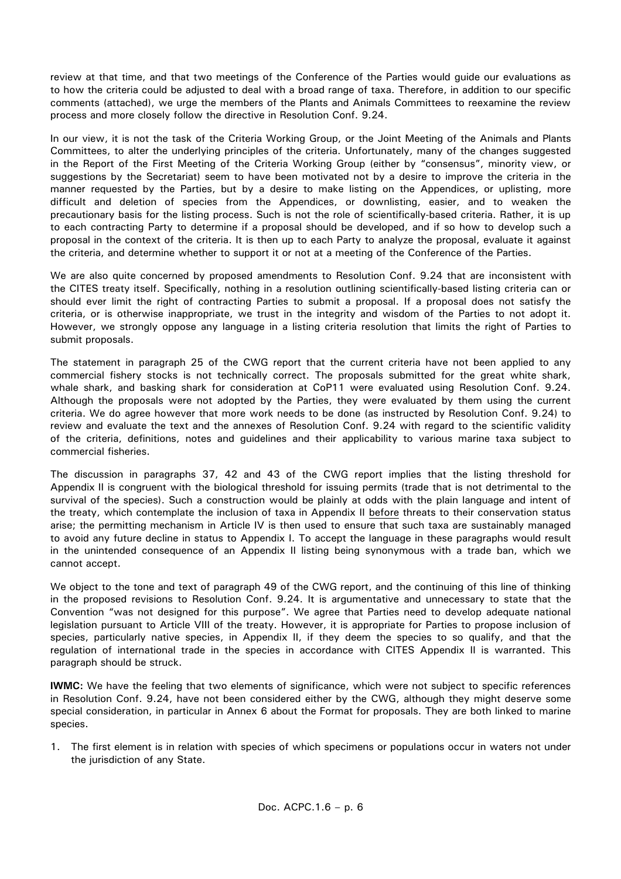review at that time, and that two meetings of the Conference of the Parties would guide our evaluations as to how the criteria could be adjusted to deal with a broad range of taxa. Therefore, in addition to our specific comments (attached), we urge the members of the Plants and Animals Committees to reexamine the review process and more closely follow the directive in Resolution Conf. 9.24.

In our view, it is not the task of the Criteria Working Group, or the Joint Meeting of the Animals and Plants Committees, to alter the underlying principles of the criteria. Unfortunately, many of the changes suggested in the Report of the First Meeting of the Criteria Working Group (either by "consensus", minority view, or suggestions by the Secretariat) seem to have been motivated not by a desire to improve the criteria in the manner requested by the Parties, but by a desire to make listing on the Appendices, or uplisting, more difficult and deletion of species from the Appendices, or downlisting, easier, and to weaken the precautionary basis for the listing process. Such is not the role of scientifically-based criteria. Rather, it is up to each contracting Party to determine if a proposal should be developed, and if so how to develop such a proposal in the context of the criteria. It is then up to each Party to analyze the proposal, evaluate it against the criteria, and determine whether to support it or not at a meeting of the Conference of the Parties.

We are also quite concerned by proposed amendments to Resolution Conf. 9.24 that are inconsistent with the CITES treaty itself. Specifically, nothing in a resolution outlining scientifically-based listing criteria can or should ever limit the right of contracting Parties to submit a proposal. If a proposal does not satisfy the criteria, or is otherwise inappropriate, we trust in the integrity and wisdom of the Parties to not adopt it. However, we strongly oppose any language in a listing criteria resolution that limits the right of Parties to submit proposals.

The statement in paragraph 25 of the CWG report that the current criteria have not been applied to any commercial fishery stocks is not technically correct. The proposals submitted for the great white shark, whale shark, and basking shark for consideration at CoP11 were evaluated using Resolution Conf. 9.24. Although the proposals were not adopted by the Parties, they were evaluated by them using the current criteria. We do agree however that more work needs to be done (as instructed by Resolution Conf. 9.24) to review and evaluate the text and the annexes of Resolution Conf. 9.24 with regard to the scientific validity of the criteria, definitions, notes and guidelines and their applicability to various marine taxa subject to commercial fisheries.

The discussion in paragraphs 37, 42 and 43 of the CWG report implies that the listing threshold for Appendix II is congruent with the biological threshold for issuing permits (trade that is not detrimental to the survival of the species). Such a construction would be plainly at odds with the plain language and intent of the treaty, which contemplate the inclusion of taxa in Appendix II before threats to their conservation status arise; the permitting mechanism in Article IV is then used to ensure that such taxa are sustainably managed to avoid any future decline in status to Appendix I. To accept the language in these paragraphs would result in the unintended consequence of an Appendix II listing being synonymous with a trade ban, which we cannot accept.

We object to the tone and text of paragraph 49 of the CWG report, and the continuing of this line of thinking in the proposed revisions to Resolution Conf. 9.24. It is argumentative and unnecessary to state that the Convention "was not designed for this purpose". We agree that Parties need to develop adequate national legislation pursuant to Article VIII of the treaty. However, it is appropriate for Parties to propose inclusion of species, particularly native species, in Appendix II, if they deem the species to so qualify, and that the regulation of international trade in the species in accordance with CITES Appendix II is warranted. This paragraph should be struck.

**IWMC:** We have the feeling that two elements of significance, which were not subject to specific references in Resolution Conf. 9.24, have not been considered either by the CWG, although they might deserve some special consideration, in particular in Annex 6 about the Format for proposals. They are both linked to marine species.

1. The first element is in relation with species of which specimens or populations occur in waters not under the jurisdiction of any State.